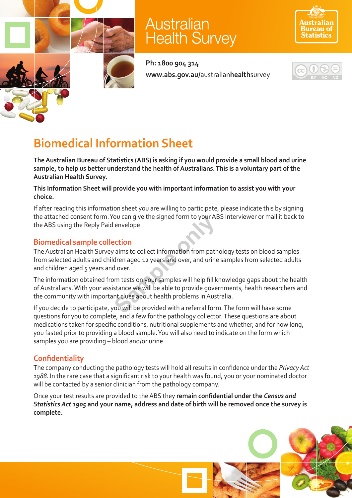

# **Australian Health Survey**



**Ph: 1800 904 314 www.abs.gov.au/**australian**health**survey



## **Biomedical Information Sheet**

**The Australian Bureau of Statistics (ABS) is asking if you would provide a small blood and urine sample, to help us better understand the health of Australians. This is a voluntary part of the Australian Health Survey.** 

**This Information Sheet will provide you with important information to assist you with your choice.**

If after reading this information sheet you are willing to participate, please indicate this by signing the attached consent form. You can give the signed form to your ABS Interviewer or mail it back to the ABS using the Reply Paid envelope.

## **Biomedical sample collection**

The Australian Health Survey aims to collect information from pathology tests on blood samples from selected adults and children aged 12 years and over, and urine samples from selected adults and children aged 5 years and over. France Controllect information from path<br>
Sample of the signal form to your Andren<br>
Sample of the signal over, and urine<br>
Samples will be able to provide gove<br>
the stance we will be able to provide gove<br>
the clues about he

The information obtained from tests on your samples will help fill knowledge gaps about the health of Australians. With your assistance we will be able to provide governments, health researchers and the community with important clues about health problems in Australia.

If you decide to participate, you will be provided with a referral form. The form will have some questions for you to complete, and a few for the pathology collector. These questions are about medications taken for specific conditions, nutritional supplements and whether, and for how long, you fasted prior to providing a blood sample. You will also need to indicate on the form which samples you are providing – blood and/or urine.

## **Confidentiality**

The company conducting the pathology tests will hold all results in confidence under the *Privacy Act 1988.* In the rare case that a significant risk to your health was found, you or your nominated doctor will be contacted by a senior clinician from the pathology company.

Once your test results are provided to the ABS they **remain confidential under the** *Census and Statistics Act 1905* **and your name, address and date of birth will be removed once the survey is complete.**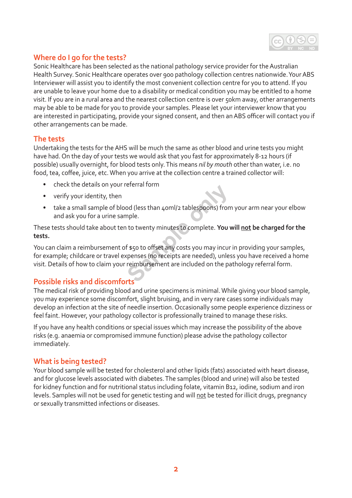

## **Where do I go for the tests?**

Sonic Healthcare has been selected as the national pathology service provider for the Australian Health Survey. Sonic Healthcare operates over 900 pathology collection centres nationwide. Your ABS Interviewer will assist you to identify the most convenient collection centre for you to attend. If you are unable to leave your home due to a disability or medical condition you may be entitled to a home visit. If you are in a rural area and the nearest collection centre is over 50km away, other arrangements may be able to be made for you to provide your samples. Please let your interviewer know that you are interested in participating, provide your signed consent, and then an ABS officer will contact you if other arrangements can be made.

#### **The tests**

Undertaking the tests for the AHS will be much the same as other blood and urine tests you might have had. On the day of your tests we would ask that you fast for approximately 8-12 hours (if possible) usually overnight, for blood tests only. This means *nil by mouth* other than water, i.e. no food, tea, coffee, juice, etc. When you arrive at the collection centre a trained collector will:

- check the details on your referral form
- verify your identity, then
- take a small sample of blood (less than 40ml/2 tablespoons) from your arm near your elbow and ask you for a urine sample.

These tests should take about ten to twenty minutes to complete. **You will not be charged for the tests.** 

You can claim a reimbursement of \$50 to offset any costs you may incur in providing your samples, for example; childcare or travel expenses (no receipts are needed), unless you have received a home visit. Details of how to claim your reimbursement are included on the pathology referral form. **Sample:**<br> **Sample:**<br> **Sample:**<br> **Sample:**<br> **Sample:**<br> **Sample:**<br> **Sample:**<br> **Sample:**<br> **Sample:**<br> **Sample:**<br> **Sample:**<br> **Sample:**<br> **Sample:**<br> **Sample:**<br> **Sample:**<br> **Sample:**<br> **Sample:**<br> **Sample:**<br> **Sample:**<br> **Sample:**<br> **S** 

## **Possible risks and discomforts**

The medical risk of providing blood and urine specimens is minimal. While giving your blood sample, you may experience some discomfort, slight bruising, and in very rare cases some individuals may develop an infection at the site of needle insertion. Occasionally some people experience dizziness or feel faint. However, your pathology collector is professionally trained to manage these risks.

If you have any health conditions or special issues which may increase the possibility of the above risks (e.g. anaemia or compromised immune function) please advise the pathology collector immediately.

#### **What is being tested?**

Your blood sample will be tested for cholesterol and other lipids (fats) associated with heart disease, and for glucose levels associated with diabetes. The samples (blood and urine) will also be tested for kidney function and for nutritional status including folate, vitamin B12, iodine, sodium and iron levels. Samples will not be used for genetic testing and will not be tested for illicit drugs, pregnancy or sexually transmitted infections or diseases.